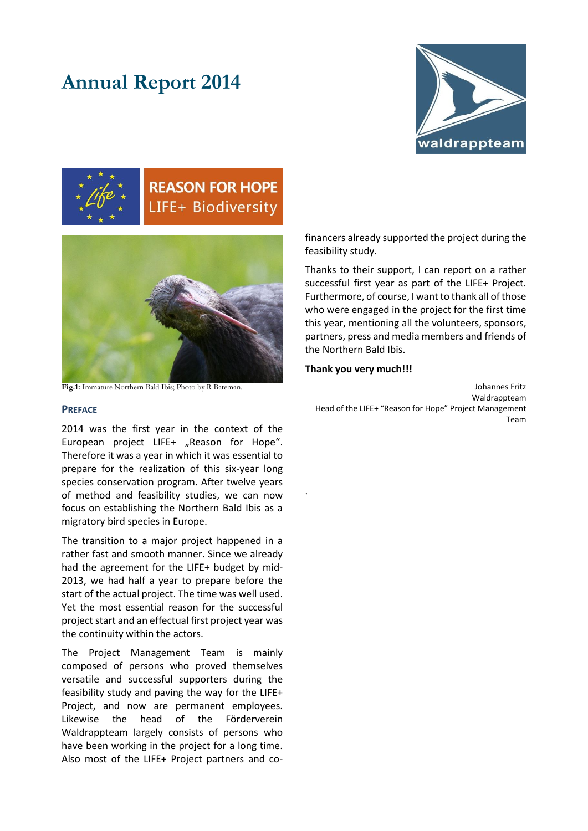# **Annual Report 2014**





# **REASON FOR HOPE** LIFE+ Biodiversity



**Fig.1:** Immature Northern Bald Ibis; Photo by R Bateman.

# **PREFACE**

2014 was the first year in the context of the European project LIFE+ "Reason for Hope". Therefore it was a year in which it was essential to prepare for the realization of this six-year long species conservation program. After twelve years of method and feasibility studies, we can now focus on establishing the Northern Bald Ibis as a migratory bird species in Europe.

The transition to a major project happened in a rather fast and smooth manner. Since we already had the agreement for the LIFE+ budget by mid-2013, we had half a year to prepare before the start of the actual project. The time was well used. Yet the most essential reason for the successful project start and an effectual first project year was the continuity within the actors.

The Project Management Team is mainly composed of persons who proved themselves versatile and successful supporters during the feasibility study and paving the way for the LIFE+ Project, and now are permanent employees. Likewise the head of the Förderverein Waldrappteam largely consists of persons who have been working in the project for a long time. Also most of the LIFE+ Project partners and cofinancers already supported the project during the feasibility study.

Thanks to their support, I can report on a rather successful first year as part of the LIFE+ Project. Furthermore, of course, I want to thank all of those who were engaged in the project for the first time this year, mentioning all the volunteers, sponsors, partners, press and media members and friends of the Northern Bald Ibis.

#### **Thank you very much!!!**

.

Johannes Fritz Waldrappteam Head of the LIFE+ "Reason for Hope" Project Management Team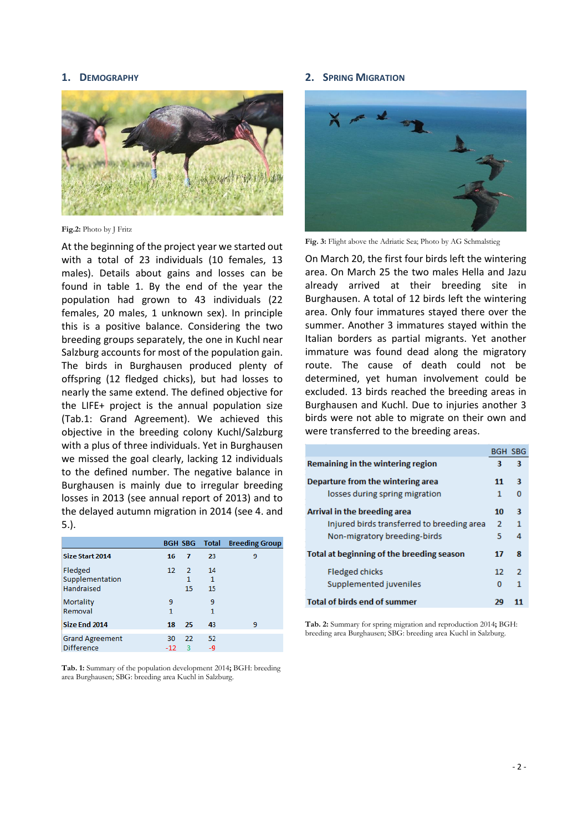#### **1. DEMOGRAPHY**



**Fig.2:** Photo by J Fritz

At the beginning of the project year we started out with a total of 23 individuals (10 females, 13 males). Details about gains and losses can be found in table 1. By the end of the year the population had grown to 43 individuals (22 females, 20 males, 1 unknown sex). In principle this is a positive balance. Considering the two breeding groups separately, the one in Kuchl near Salzburg accounts for most of the population gain. The birds in Burghausen produced plenty of offspring (12 fledged chicks), but had losses to nearly the same extend. The defined objective for the LIFE+ project is the annual population size (Tab.1: Grand Agreement). We achieved this objective in the breeding colony Kuchl/Salzburg with a plus of three individuals. Yet in Burghausen we missed the goal clearly, lacking 12 individuals to the defined number. The negative balance in Burghausen is mainly due to irregular breeding losses in 2013 (see annual report of 2013) and to the delayed autumn migration in 2014 (see 4. and 5.).

|                        |       |               | <b>BGH SBG Total</b> | <b>Breeding Group</b> |
|------------------------|-------|---------------|----------------------|-----------------------|
| Size Start 2014        | 16    | 7             | 23                   | 9                     |
| Fledged                | 12    | $\mathcal{L}$ | 14                   |                       |
| Supplementation        |       | 1             | 1                    |                       |
| Handraised             |       | 15            | 15                   |                       |
| Mortality              | ٩     |               | 9                    |                       |
| Removal                | 1     |               | 1                    |                       |
| Size End 2014          | 18    | -25           | 43                   | 9                     |
| <b>Grand Agreement</b> | 30    | 22            | 52                   |                       |
| <b>Difference</b>      | $-12$ | з             | -9                   |                       |

**Tab. 1:** Summary of the population development 2014**;** BGH: breeding area Burghausen; SBG: breeding area Kuchl in Salzburg.

#### **2. SPRING MIGRATION**



**Fig. 3:** Flight above the Adriatic Sea; Photo by AG Schmalstieg

On March 20, the first four birds left the wintering area. On March 25 the two males Hella and Jazu already arrived at their breeding site in Burghausen. A total of 12 birds left the wintering area. Only four immatures stayed there over the summer. Another 3 immatures stayed within the Italian borders as partial migrants. Yet another immature was found dead along the migratory route. The cause of death could not be determined, yet human involvement could be excluded. 13 birds reached the breeding areas in Burghausen and Kuchl. Due to injuries another 3 birds were not able to migrate on their own and were transferred to the breeding areas.

|                                            | <b>BGH SBG</b> |   |
|--------------------------------------------|----------------|---|
| Remaining in the wintering region          | з              | 3 |
| Departure from the wintering area          |                | 3 |
| losses during spring migration             | 1              | 0 |
| Arrival in the breeding area               | 10             | 3 |
| Injured birds transferred to breeding area | 2              | 1 |
| Non-migratory breeding-birds               | 5              | 4 |
| Total at beginning of the breeding season  |                | я |
| <b>Fledged chicks</b>                      | 12             | 2 |
| Supplemented juveniles                     | o              | 1 |
| <b>Total of birds end of summer</b>        | 29             |   |

**Tab. 2:** Summary for spring migration and reproduction 2014**;** BGH: breeding area Burghausen; SBG: breeding area Kuchl in Salzburg.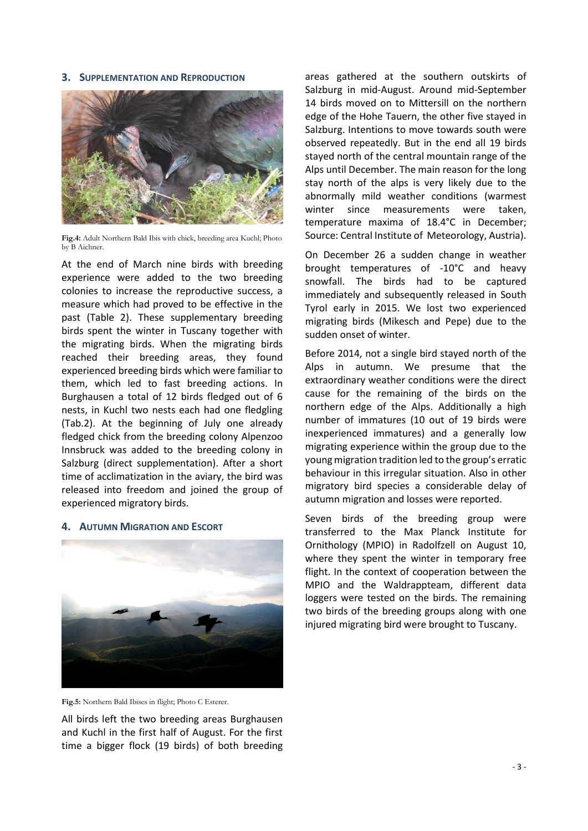# **3. SUPPLEMENTATION AND REPRODUCTION**



**Fig.4:** Adult Northern Bald Ibis with chick, breeding area Kuchl; Photo by B Aichner.

At the end of March nine birds with breeding experience were added to the two breeding colonies to increase the reproductive success, a measure which had proved to be effective in the past (Table 2). These supplementary breeding birds spent the winter in Tuscany together with the migrating birds. When the migrating birds reached their breeding areas, they found experienced breeding birds which were familiar to them, which led to fast breeding actions. In Burghausen a total of 12 birds fledged out of 6 nests, in Kuchl two nests each had one fledgling (Tab.2). At the beginning of July one already fledged chick from the breeding colony Alpenzoo Innsbruck was added to the breeding colony in Salzburg (direct supplementation). After a short time of acclimatization in the aviary, the bird was released into freedom and joined the group of experienced migratory birds.

# **4. AUTUMN MIGRATION AND ESCORT**



**Fig.5:** Northern Bald Ibises in flight; Photo C Esterer.

All birds left the two breeding areas Burghausen and Kuchl in the first half of August. For the first time a bigger flock (19 birds) of both breeding

areas gathered at the southern outskirts of Salzburg in mid-August. Around mid-September 14 birds moved on to Mittersill on the northern edge of the Hohe Tauern, the other five stayed in Salzburg. Intentions to move towards south were observed repeatedly. But in the end all 19 birds stayed north of the central mountain range of the Alps until December. The main reason for the long stay north of the alps is very likely due to the abnormally mild weather conditions (warmest winter since measurements were taken, temperature maxima of 18.4°C in December; Source: Central Institute of Meteorology, Austria).

On December 26 a sudden change in weather brought temperatures of -10°C and heavy snowfall. The birds had to be captured immediately and subsequently released in South Tyrol early in 2015. We lost two experienced migrating birds (Mikesch and Pepe) due to the sudden onset of winter.

Before 2014, not a single bird stayed north of the Alps in autumn. We presume that the extraordinary weather conditions were the direct cause for the remaining of the birds on the northern edge of the Alps. Additionally a high number of immatures (10 out of 19 birds were inexperienced immatures) and a generally low migrating experience within the group due to the young migration tradition led to the group's erratic behaviour in this irregular situation. Also in other migratory bird species a considerable delay of autumn migration and losses were reported.

Seven birds of the breeding group were transferred to the Max Planck Institute for Ornithology (MPIO) in Radolfzell on August 10, where they spent the winter in temporary free flight. In the context of cooperation between the MPIO and the Waldrappteam, different data loggers were tested on the birds. The remaining two birds of the breeding groups along with one injured migrating bird were brought to Tuscany.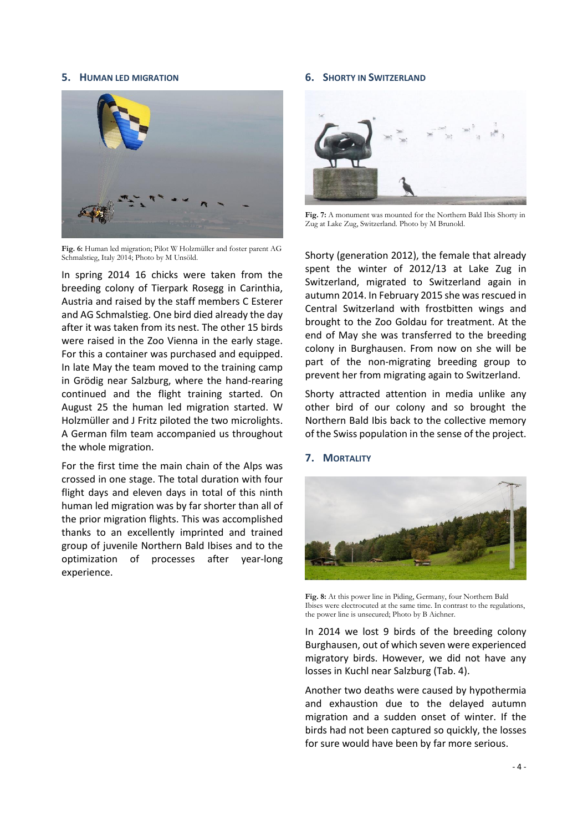#### **5. HUMAN LED MIGRATION**



**Fig. 6:** Human led migration; Pilot W Holzmüller and foster parent AG Schmalstieg, Italy 2014; Photo by M Unsöld.

In spring 2014 16 chicks were taken from the breeding colony of Tierpark Rosegg in Carinthia, Austria and raised by the staff members C Esterer and AG Schmalstieg. One bird died already the day after it was taken from its nest. The other 15 birds were raised in the Zoo Vienna in the early stage. For this a container was purchased and equipped. In late May the team moved to the training camp in Grödig near Salzburg, where the hand-rearing continued and the flight training started. On August 25 the human led migration started. W Holzmüller and J Fritz piloted the two microlights. A German film team accompanied us throughout the whole migration.

For the first time the main chain of the Alps was crossed in one stage. The total duration with four flight days and eleven days in total of this ninth human led migration was by far shorter than all of the prior migration flights. This was accomplished thanks to an excellently imprinted and trained group of juvenile Northern Bald Ibises and to the optimization of processes after year-long experience.

#### **6. SHORTY IN SWITZERLAND**



**Fig. 7:** A monument was mounted for the Northern Bald Ibis Shorty in Zug at Lake Zug, Switzerland. Photo by M Brunold.

Shorty (generation 2012), the female that already spent the winter of 2012/13 at Lake Zug in Switzerland, migrated to Switzerland again in autumn 2014. In February 2015 she was rescued in Central Switzerland with frostbitten wings and brought to the Zoo Goldau for treatment. At the end of May she was transferred to the breeding colony in Burghausen. From now on she will be part of the non-migrating breeding group to prevent her from migrating again to Switzerland.

Shorty attracted attention in media unlike any other bird of our colony and so brought the Northern Bald Ibis back to the collective memory of the Swiss population in the sense of the project.

# **7. MORTALITY**



**Fig. 8:** At this power line in Piding, Germany, four Northern Bald Ibises were electrocuted at the same time. In contrast to the regulations, the power line is unsecured; Photo by B Aichner.

In 2014 we lost 9 birds of the breeding colony Burghausen, out of which seven were experienced migratory birds. However, we did not have any losses in Kuchl near Salzburg (Tab. 4).

Another two deaths were caused by hypothermia and exhaustion due to the delayed autumn migration and a sudden onset of winter. If the birds had not been captured so quickly, the losses for sure would have been by far more serious.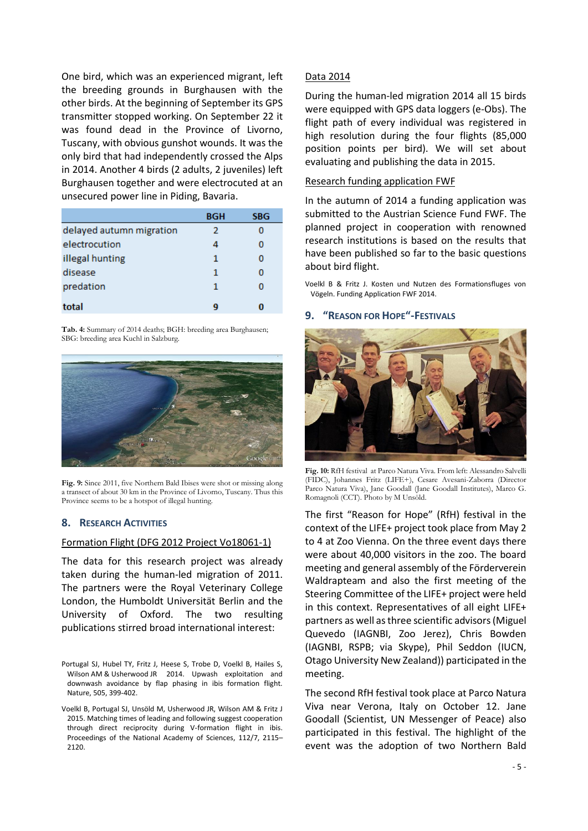One bird, which was an experienced migrant, left the breeding grounds in Burghausen with the other birds. At the beginning of September its GPS transmitter stopped working. On September 22 it was found dead in the Province of Livorno, Tuscany, with obvious gunshot wounds. It was the only bird that had independently crossed the Alps in 2014. Another 4 birds (2 adults, 2 juveniles) left Burghausen together and were electrocuted at an unsecured power line in Piding, Bavaria.

|                          | BGH | SBG |
|--------------------------|-----|-----|
| delayed autumn migration | 2   |     |
| electrocution            | 4   | Ω   |
| illegal hunting          | 1   | Ω   |
| disease                  | 1   | Ω   |
| predation                | 1   | o   |
| total                    | q   |     |

**Tab. 4:** Summary of 2014 deaths; BGH: breeding area Burghausen; SBG: breeding area Kuchl in Salzburg.



**Fig. 9:** Since 2011, five Northern Bald Ibises were shot or missing along a transect of about 30 km in the Province of Livorno, Tuscany. Thus this Province seems to be a hotspot of illegal hunting.

#### **8. RESEARCH ACTIVITIES**

#### Formation Flight (DFG 2012 Project Vo18061-1)

The data for this research project was already taken during the human-led migration of 2011. The partners were the Royal Veterinary College London, the Humboldt Universität Berlin and the University of Oxford. The two resulting publications stirred broad international interest:

# Data 2014

During the human-led migration 2014 all 15 birds were equipped with GPS data loggers (e-Obs). The flight path of every individual was registered in high resolution during the four flights (85,000 position points per bird). We will set about evaluating and publishing the data in 2015.

# Research funding application FWF

In the autumn of 2014 a funding application was submitted to the Austrian Science Fund FWF. The planned project in cooperation with renowned research institutions is based on the results that have been published so far to the basic questions about bird flight.

Voelkl B & Fritz J. Kosten und Nutzen des Formationsfluges von Vögeln. Funding Application FWF 2014.

#### **9. "REASON FOR HOPE"-FESTIVALS**



**Fig. 10:** RfH festival at Parco Natura Viva. From left: Alessandro Salvelli (FIDC), Johannes Fritz (LIFE+), Cesare Avesani-Zaborra (Director Parco Natura Viva), Jane Goodall (Jane Goodall Institutes), Marco G. Romagnoli (CCT). Photo by M Unsöld.

The first "Reason for Hope" (RfH) festival in the context of the LIFE+ project took place from May 2 to 4 at Zoo Vienna. On the three event days there were about 40,000 visitors in the zoo. The board meeting and general assembly of the Förderverein Waldrapteam and also the first meeting of the Steering Committee of the LIFE+ project were held in this context. Representatives of all eight LIFE+ partners as well as three scientific advisors(Miguel Quevedo (IAGNBI, Zoo Jerez), Chris Bowden (IAGNBI, RSPB; via Skype), Phil Seddon (IUCN, Otago University New Zealand)) participated in the meeting.

The second RfH festival took place at Parco Natura Viva near Verona, Italy on October 12. Jane Goodall (Scientist, UN Messenger of Peace) also participated in this festival. The highlight of the event was the adoption of two Northern Bald

Portugal SJ, Hubel TY, Fritz J, Heese S, Trobe D, Voelkl B, Hailes S, Wilson AM & Usherwood JR 2014. Upwash exploitation and downwash avoidance by flap phasing in ibis formation flight. Nature, 505, 399-402.

Voelkl B, Portugal SJ, Unsöld M, Usherwood JR, Wilson AM & Fritz J 2015. Matching times of leading and following suggest cooperation through direct reciprocity during V-formation flight in ibis. Proceedings of the National Academy of Sciences, 112/7, 2115– 2120.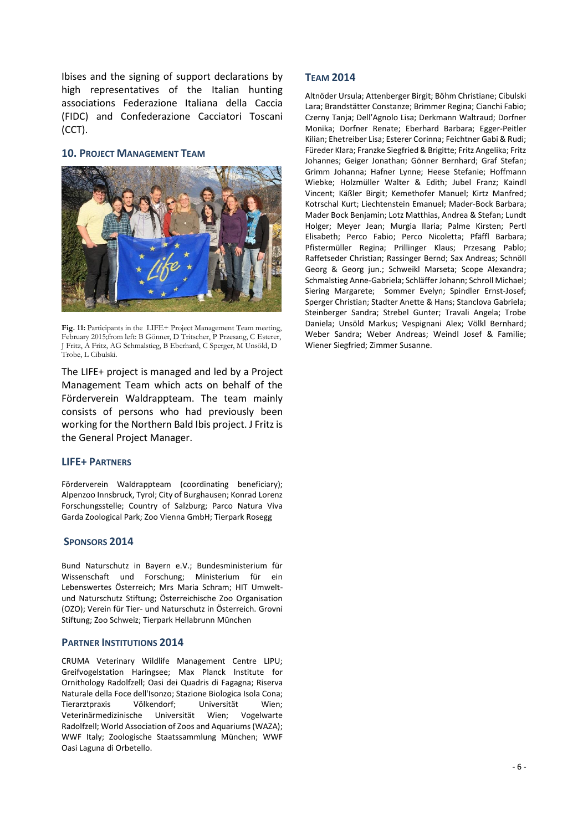Ibises and the signing of support declarations by high representatives of the Italian hunting associations Federazione Italiana della Caccia (FIDC) and Confederazione Cacciatori Toscani (CCT).

# **10. PROJECT MANAGEMENT TEAM**



**Fig. 11:** Participants in the LIFE+ Project Management Team meeting, February 2015;from left: B Gönner, D Tritscher, P Przesang, C Esterer, J Fritz, A Fritz, AG Schmalstieg, B Eberhard, C Sperger, M Unsöld, D Trobe, L Cibulski.

The LIFE+ project is managed and led by a Project Management Team which acts on behalf of the Förderverein Waldrappteam. The team mainly consists of persons who had previously been working for the Northern Bald Ibis project. J Fritz is the General Project Manager.

#### **LIFE+ PARTNERS**

Förderverein Waldrappteam (coordinating beneficiary); Alpenzoo Innsbruck, Tyrol; City of Burghausen; Konrad Lorenz Forschungsstelle; Country of Salzburg; Parco Natura Viva Garda Zoological Park; Zoo Vienna GmbH; Tierpark Rosegg

#### **SPONSORS 2014**

Bund Naturschutz in Bayern e.V.; Bundesministerium für Wissenschaft und Forschung; Ministerium für ein Lebenswertes Österreich; Mrs Maria Schram; HIT Umweltund Naturschutz Stiftung; Österreichische Zoo Organisation (OZO); Verein für Tier- und Naturschutz in Österreich. Grovni Stiftung; Zoo Schweiz; Tierpark Hellabrunn München

# **PARTNER INSTITUTIONS 2014**

CRUMA Veterinary Wildlife Management Centre LIPU; Greifvogelstation Haringsee; Max Planck Institute for Ornithology Radolfzell; Oasi dei Quadris di Fagagna; Riserva Naturale della Foce dell'Isonzo; Stazione Biologica Isola Cona; Tierarztpraxis Völkendorf; Universität Wien; Veterinärmedizinische Universität Wien; Vogelwarte Radolfzell; World Association of Zoos and Aquariums (WAZA); WWF Italy; Zoologische Staatssammlung München; WWF Oasi Laguna di Orbetello.

#### **TEAM 2014**

Altnöder Ursula; Attenberger Birgit; Böhm Christiane; Cibulski Lara; Brandstätter Constanze; Brimmer Regina; Cianchi Fabio; Czerny Tanja; Dell'Agnolo Lisa; Derkmann Waltraud; Dorfner Monika; Dorfner Renate; Eberhard Barbara; Egger-Peitler Kilian; Ehetreiber Lisa; Esterer Corinna; Feichtner Gabi & Rudi; Füreder Klara; Franzke Siegfried & Brigitte; Fritz Angelika; Fritz Johannes; Geiger Jonathan; Gönner Bernhard; Graf Stefan; Grimm Johanna; Hafner Lynne; Heese Stefanie; Hoffmann Wiebke; Holzmüller Walter & Edith; Jubel Franz; Kaindl Vincent; Käßler Birgit; Kemethofer Manuel; Kirtz Manfred; Kotrschal Kurt; Liechtenstein Emanuel; Mader-Bock Barbara; Mader Bock Benjamin; Lotz Matthias, Andrea & Stefan; Lundt Holger; Meyer Jean; Murgia Ilaria; Palme Kirsten; Pertl Elisabeth; Perco Fabio; Perco Nicoletta; Pfäffl Barbara; Pfistermüller Regina; Prillinger Klaus; Przesang Pablo; Raffetseder Christian; Rassinger Bernd; Sax Andreas; Schnöll Georg & Georg jun.; Schweikl Marseta; Scope Alexandra; Schmalstieg Anne-Gabriela; Schläffer Johann; Schroll Michael; Siering Margarete; Sommer Evelyn; Spindler Ernst-Josef; Sperger Christian; Stadter Anette & Hans; Stanclova Gabriela; Steinberger Sandra; Strebel Gunter; Travali Angela; Trobe Daniela; Unsöld Markus; Vespignani Alex; Völkl Bernhard; Weber Sandra; Weber Andreas; Weindl Josef & Familie; Wiener Siegfried; Zimmer Susanne.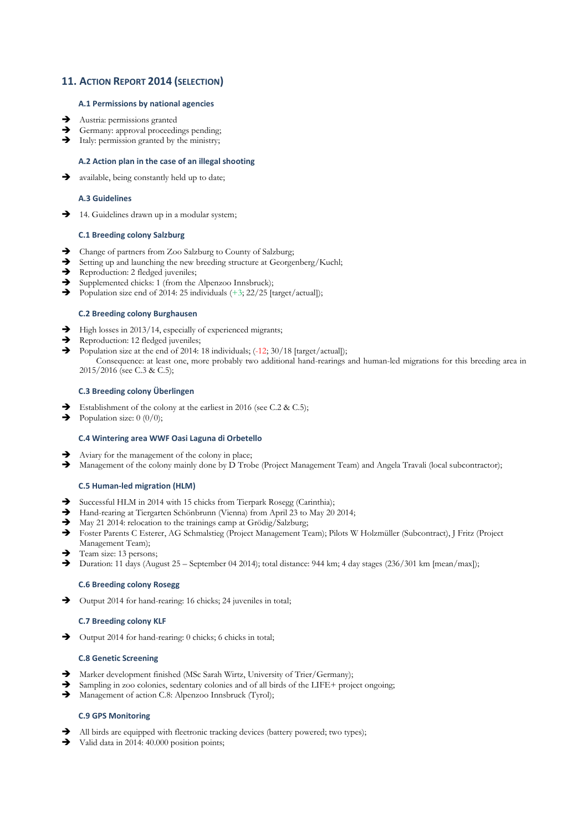# **11. ACTION REPORT 2014 (SELECTION)**

# **A.1 Permissions by national agencies**

- $\rightarrow$  Austria: permissions granted
- Germany: approval proceedings pending;
- $\rightarrow$  Italy: permission granted by the ministry;

# **A.2 Action plan in the case of an illegal shooting**

 $\rightarrow$  available, being constantly held up to date;

#### **A.3 Guidelines**

 $\rightarrow$  14. Guidelines drawn up in a modular system;

# **C.1 Breeding colony Salzburg**

- $\rightarrow$  Change of partners from Zoo Salzburg to County of Salzburg;
- Setting up and launching the new breeding structure at Georgenberg/Kuchl;
- Reproduction: 2 fledged juveniles;
- $\rightarrow$  Supplemented chicks: 1 (from the Alpenzoo Innsbruck);
- Population size end of 2014: 25 individuals  $(+3, 22/25$  [target/actual]);

#### **C.2 Breeding colony Burghausen**

- $\rightarrow$  High losses in 2013/14, especially of experienced migrants;
- Reproduction: 12 fledged juveniles;
- Population size at the end of 2014: 18 individuals;  $(-12; 30/18$  [target/actual]); Consequence: at least one, more probably two additional hand-rearings and human-led migrations for this breeding area in 2015/2016 (see C.3 & C.5);

#### **C.3 Breeding colony Überlingen**

- Establishment of the colony at the earliest in 2016 (see C.2 & C.5);
- $\rightarrow$  Population size: 0 (0/0);

# **C.4 Wintering area WWF Oasi Laguna di Orbetello**

- Aviary for the management of the colony in place;
- Management of the colony mainly done by D Trobe (Project Management Team) and Angela Travali (local subcontractor);

#### **C.5 Human-led migration (HLM)**

- $\rightarrow$  Successful HLM in 2014 with 15 chicks from Tierpark Rosegg (Carinthia);
- Hand-rearing at Tiergarten Schönbrunn (Vienna) from April 23 to May 20 2014;
- $\rightarrow$  May 21 2014: relocation to the trainings camp at Grödig/Salzburg;
- Foster Parents C Esterer, AG Schmalstieg (Project Management Team); Pilots W Holzmüller (Subcontract), J Fritz (Project Management Team);
- $\rightarrow$  Team size: 13 persons;
- Duration: 11 days (August 25 September 04 2014); total distance: 944 km; 4 day stages (236/301 km [mean/max]);

#### **C.6 Breeding colony Rosegg**

Output 2014 for hand-rearing: 16 chicks; 24 juveniles in total;

# **C.7 Breeding colony KLF**

Output 2014 for hand-rearing: 0 chicks; 6 chicks in total;

#### **C.8 Genetic Screening**

- $\rightarrow$  Marker development finished (MSc Sarah Wirtz, University of Trier/Germany);
- Sampling in zoo colonies, sedentary colonies and of all birds of the LIFE+ project ongoing;
- Management of action C.8: Alpenzoo Innsbruck (Tyrol);

# **C.9 GPS Monitoring**

- All birds are equipped with fleetronic tracking devices (battery powered; two types);
- $\rightarrow$  Valid data in 2014: 40.000 position points;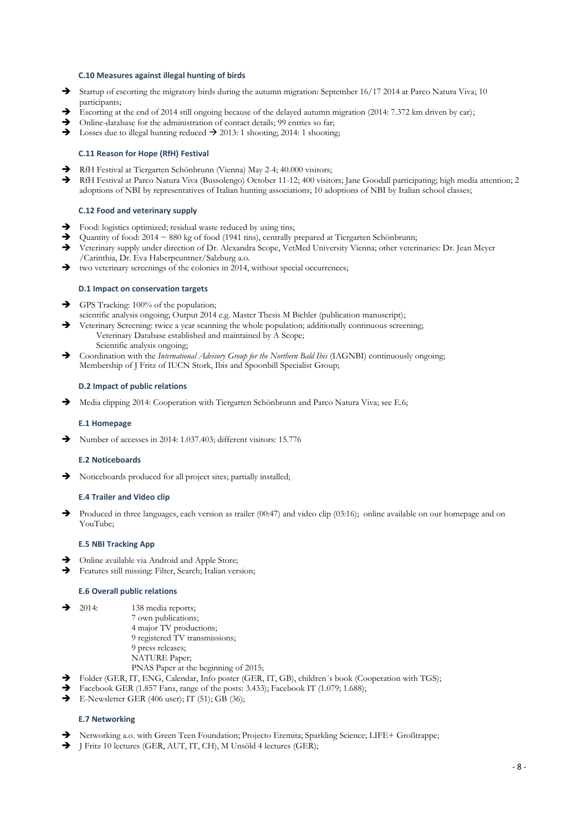#### **C.10 Measures against illegal hunting of birds**

- Startup of escorting the migratory birds during the autumn migration: September 16/17 2014 at Parco Natura Viva; 10 participants;
- $\rightarrow$  Escorting at the end of 2014 still ongoing because of the delayed autumn migration (2014: 7.372 km driven by car);
- $\rightarrow$  Online-database for the administration of contact details; 99 entries so far;
- $\rightarrow$  Losses due to illegal hunting reduced  $\rightarrow$  2013: 1 shooting; 2014: 1 shooting;

#### **C.11 Reason for Hope (RfH) Festival**

- RfH Festival at Tiergarten Schönbrunn (Vienna) May 2-4; 40.000 visitors;
- RfH Festival at Parco Natura Viva (Bussolengo) October 11-12; 400 visitors; Jane Goodall participating; high media attention; 2 adoptions of NBI by representatives of Italian hunting associations; 10 adoptions of NBI by Italian school classes;

#### **C.12 Food and veterinary supply**

- $\rightarrow$  Food: logistics optimized; residual waste reduced by using tins;
- Quantity of food: 2014  $\sim$  880 kg of food (1941 tins), centrally prepared at Tiergarten Schönbrunn;<br>Veterinary supply under direction of Dr. Alexandra Scope, VetMed University Vienna; other veteri
- Veterinary supply under direction of Dr. Alexandra Scope, VetMed University Vienna; other veterinaries: Dr. Jean Meyer /Carinthia, Dr. Eva Haberpeuntner/Salzburg a.o.
- $\rightarrow$  two veterinary screenings of the colonies in 2014, without special occurrences;

#### **D.1 Impact on conservation targets**

- GPS Tracking: 100% of the population;
- scientific analysis ongoing; Output 2014 e.g. Master Thesis M Bichler (publication manuscript); Veterinary Screening: twice a year scanning the whole population; additionally continuous screening; Veterinary Database established and maintained by A Scope;
	- Scientific analysis ongoing;
- Coordination with the *International Advisory Group for the Northern Bald Ibis* (IAGNBI) continuously ongoing; Membership of J Fritz of IUCN Stork, Ibis and Spoonbill Specialist Group;

#### **D.2 Impact of public relations**

Media clipping 2014: Cooperation with Tiergarten Schönbrunn and Parco Natura Viva; see E.6;

#### **E.1 Homepage**

Number of accesses in 2014: 1.037.403; different visitors: 15.776

#### **E.2 Noticeboards**

 $\rightarrow$  Noticeboards produced for all project sites; partially installed;

#### **E.4 Trailer and Video clip**

Produced in three languages, each version as trailer  $(00:47)$  and video clip  $(03:16)$ ; online available on our homepage and on YouTube;

#### **E.5 NBI Tracking App**

- $\rightarrow$  Online available via Android and Apple Store;
- Features still missing: Filter, Search; Italian version;

#### **E.6 Overall public relations**

- $\rightarrow$  2014: 138 media reports;
	- 7 own publications;
	- 4 major TV productions;
	- 9 registered TV transmissions;
	- 9 press releases;
	- NATURE Paper;
	- PNAS Paper at the beginning of 2015;
- $\rightarrow$  Folder (GER, IT, ENG, Calendar, Info poster (GER, IT, GB), children´s book (Cooperation with TGS);
- Facebook GER (1.857 Fans, range of the posts: 3.433); Facebook IT (1.079; 1.688);
- $\rightarrow$  E-Newsletter GER (406 user); IT (51); GB (36);

#### **E.7 Networking**

- → Networking a.o. with Green Teen Foundation; Projecto Eremita; Sparkling Science; LIFE+ Großtrappe;
- J Fritz 10 lectures (GER, AUT, IT, CH), M Unsöld 4 lectures (GER);